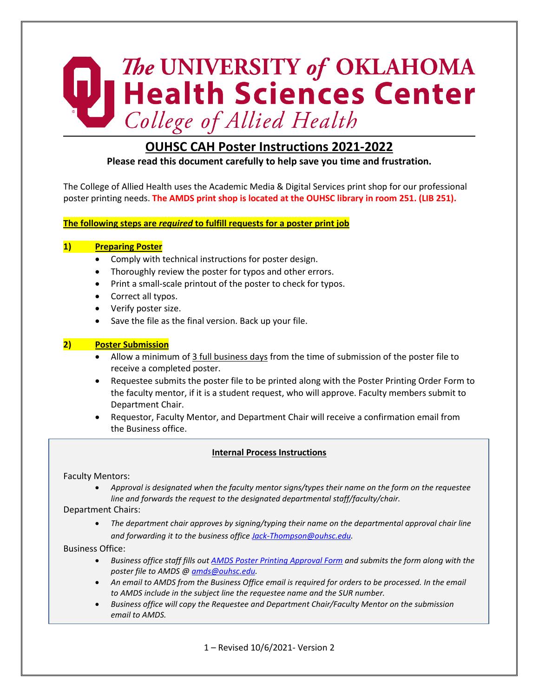# The UNIVERSITY of OKLAHOMA<br>
| Health Sciences Center<br>
College of Allied Health

# **OUHSC CAH Poster Instructions 2021-2022**

**Please read this document carefully to help save you time and frustration.** 

The College of Allied Health uses the Academic Media & Digital Services print shop for our professional poster printing needs. **The AMDS print shop is located at the OUHSC library in room 251. (LIB 251).**

**The following steps are** *required* **to fulfill requests for a poster print job**

### **1) Preparing Poster**

- Comply with technical instructions for poster design.
- Thoroughly review the poster for typos and other errors.
- Print a small-scale printout of the poster to check for typos.
- Correct all typos.
- Verify poster size.
- Save the file as the final version. Back up your file.

### **2) Poster Submission**

- Allow a minimum of 3 full business days from the time of submission of the poster file to receive a completed poster.
- Requestee submits the poster file to be printed along with the Poster Printing Order Form to the faculty mentor, if it is a student request, who will approve. Faculty members submit to Department Chair.
- Requestor, Faculty Mentor, and Department Chair will receive a confirmation email from the Business office.

### **Internal Process Instructions**

### Faculty Mentors:

• *Approval is designated when the faculty mentor signs/types their name on the form on the requestee line and forwards the request to the designated departmental staff/faculty/chair.*

Department Chairs:

• *The department chair approves by signing/typing their name on the departmental approval chair line and forwarding it to the business office [Jack-Thompson@ouhsc.edu.](mailto:Jack-Thompson@ouhsc.edu?subject=Poster%20Printing%20Approval)*

Business Office:

- *Business office staff fills out [AMDS Poster Printing Approval Form](https://www.ouhsc.edu/Portals/1095/Documents/Posterapproval.pdf?ver=2018-04-20-153836-510) and submits the form along with the poster file to AMDS @ [amds@ouhsc.edu.](mailto:amds@ouhsc.edu)*
- An email to AMDS from the Business Office email is required for orders to be processed. In the email *to AMDS include in the subject line the requestee name and the SUR number.*
- *Business office will copy the Requestee and Department Chair/Faculty Mentor on the submission email to AMDS.*

1 – Revised 10/6/2021- Version 2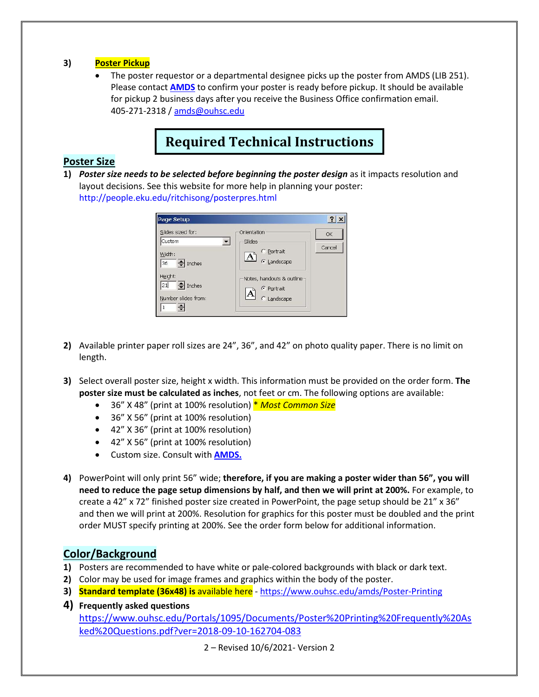### **3) Poster Pickup**

• The poster requestor or a departmental designee picks up the poster from AMDS (LIB 251). Please contact **[AMDS](https://www.ouhsc.edu/amds/Poster-Printing)** to confirm your poster is ready before pickup. It should be available for pickup 2 business days after you receive the Business Office confirmation email. 405-271-2318 [/ amds@ouhsc.edu](mailto:amds@ouhsc.edu)

# **Required Technical Instructions**

## **Poster Size**

**1)** *Poster size needs to be selected before beginning the poster design* as it impacts resolution and layout decisions. See this website for more help in planning your poster: http://people.eku.edu/ritchisong/posterpres.html

| Slides sized for:          | Orientation                | OK     |
|----------------------------|----------------------------|--------|
| Custom                     | Slides                     | Cancel |
| Width:                     | C Portrait<br>$\mathbf{A}$ |        |
| $\Rightarrow$ Inches<br>36 | C Landscape                |        |
| Height:                    | Notes, handouts & outline  |        |
| $\Rightarrow$ Inches<br>21 | <b><i>C</i></b> Portrait   |        |
| Number slides from:        | C Landscape                |        |

- **2)** Available printer paper roll sizes are 24", 36", and 42" on photo quality paper. There is no limit on length.
- **3)** Select overall poster size, height x width. This information must be provided on the order form. **The poster size must be calculated as inches**, not feet or cm. The following options are available:
	- 36" X 48" (print at 100% resolution) \* *Most Common Size*
	- 36" X 56" (print at 100% resolution)
	- 42" X 36" (print at 100% resolution)
	- 42" X 56" (print at 100% resolution)
	- Custom size. Consult with **[AMDS.](https://www.ouhsc.edu/amds/Poster-Printing)**
- **4)** PowerPoint will only print 56" wide; **therefore, if you are making a poster wider than 56", you will need to reduce the page setup dimensions by half, and then we will print at 200%.** For example, to create a 42" x 72" finished poster size created in PowerPoint, the page setup should be 21" x 36" and then we will print at 200%. Resolution for graphics for this poster must be doubled and the print order MUST specify printing at 200%. See the order form below for additional information.

# **Color/Background**

- **1)** Posters are recommended to have white or pale-colored backgrounds with black or dark text.
- **2)** Color may be used for image frames and graphics within the body of the poster.
- **3) Standard template (36x48) is** available here <https://www.ouhsc.edu/amds/Poster-Printing>
- **4) Frequently asked questions** [https://www.ouhsc.edu/Portals/1095/Documents/Poster%20Printing%20Frequently%20As](https://www.ouhsc.edu/Portals/1095/Documents/Poster%20Printing%20Frequently%20Asked%20Questions.pdf?ver=2018-09-10-162704-083) [ked%20Questions.pdf?ver=2018-09-10-162704-083](https://www.ouhsc.edu/Portals/1095/Documents/Poster%20Printing%20Frequently%20Asked%20Questions.pdf?ver=2018-09-10-162704-083)

2 – Revised 10/6/2021- Version 2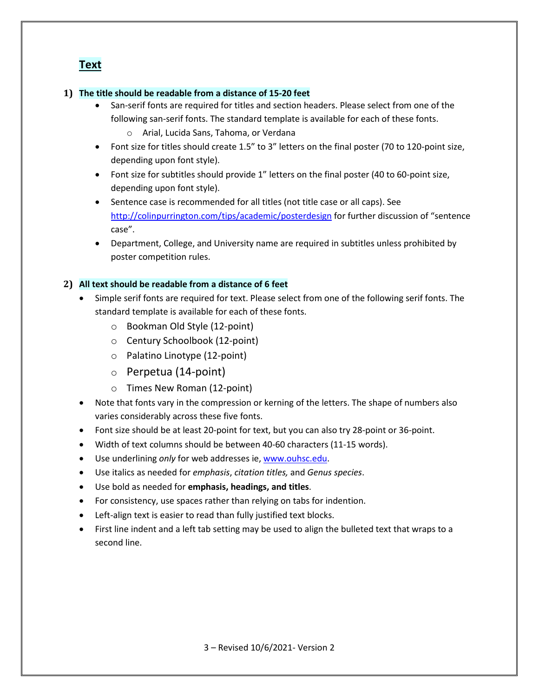# **Text**

### **1) The title should be readable from a distance of 15-20 feet**

- San-serif fonts are required for titles and section headers. Please select from one of the following san-serif fonts. The standard template is available for each of these fonts.
	- o Arial, Lucida Sans, Tahoma, or Verdana
- Font size for titles should create 1.5" to 3" letters on the final poster (70 to 120-point size, depending upon font style).
- Font size for subtitles should provide 1" letters on the final poster (40 to 60-point size, depending upon font style).
- Sentence case is recommended for all titles (not title case or all caps). See <http://colinpurrington.com/tips/academic/posterdesign> for further discussion of "sentence case".
- Department, College, and University name are required in subtitles unless prohibited by poster competition rules.

### **2) All text should be readable from a distance of 6 feet**

- Simple serif fonts are required for text. Please select from one of the following serif fonts. The standard template is available for each of these fonts.
	- o Bookman Old Style (12-point)
	- o Century Schoolbook (12-point)
	- o Palatino Linotype (12-point)
	- o Perpetua (14-point)
	- o Times New Roman (12-point)
- Note that fonts vary in the compression or kerning of the letters. The shape of numbers also varies considerably across these five fonts.
- Font size should be at least 20-point for text, but you can also try 28-point or 36-point.
- Width of text columns should be between 40-60 characters (11-15 words).
- Use underlining *only* for web addresses ie, www.ouhsc.edu.
- Use italics as needed for *emphasis*, *citation titles,* and *Genus species*.
- Use bold as needed for **emphasis, headings, and titles**.
- For consistency, use spaces rather than relying on tabs for indention.
- Left-align text is easier to read than fully justified text blocks.
- First line indent and a left tab setting may be used to align the bulleted text that wraps to a second line.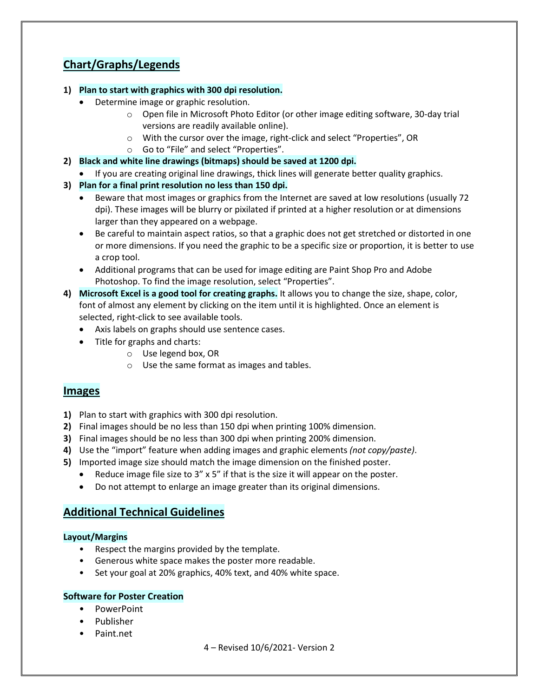# **Chart/Graphs/Legends**

### **1) Plan to start with graphics with 300 dpi resolution.**

- Determine image or graphic resolution.
	- o Open file in Microsoft Photo Editor (or other image editing software, 30-day trial versions are readily available online).
	- o With the cursor over the image, right-click and select "Properties", OR
	- o Go to "File" and select "Properties".
- **2) Black and white line drawings (bitmaps) should be saved at 1200 dpi.**
	- If you are creating original line drawings, thick lines will generate better quality graphics.
- **3) Plan for a final print resolution no less than 150 dpi.**
	- Beware that most images or graphics from the Internet are saved at low resolutions (usually 72 dpi). These images will be blurry or pixilated if printed at a higher resolution or at dimensions larger than they appeared on a webpage.
	- Be careful to maintain aspect ratios, so that a graphic does not get stretched or distorted in one or more dimensions. If you need the graphic to be a specific size or proportion, it is better to use a crop tool.
	- Additional programs that can be used for image editing are Paint Shop Pro and Adobe Photoshop. To find the image resolution, select "Properties".
- **4) Microsoft Excel is a good tool for creating graphs.** It allows you to change the size, shape, color, font of almost any element by clicking on the item until it is highlighted. Once an element is selected, right-click to see available tools.
	- Axis labels on graphs should use sentence cases.
	- Title for graphs and charts:
		- o Use legend box, OR
		- o Use the same format as images and tables.

# **Images**

- **1)** Plan to start with graphics with 300 dpi resolution.
- **2)** Final images should be no less than 150 dpi when printing 100% dimension.
- **3)** Final images should be no less than 300 dpi when printing 200% dimension.
- **4)** Use the "import" feature when adding images and graphic elements *(not copy/paste)*.
- **5)** Imported image size should match the image dimension on the finished poster.
	- Reduce image file size to 3" x 5" if that is the size it will appear on the poster.
	- Do not attempt to enlarge an image greater than its original dimensions.

# **Additional Technical Guidelines**

### **Layout/Margins**

- Respect the margins provided by the template.
- Generous white space makes the poster more readable.
- Set your goal at 20% graphics, 40% text, and 40% white space.

### **Software for Poster Creation**

- PowerPoint
- Publisher
- Paint.net
- 4 Revised 10/6/2021- Version 2